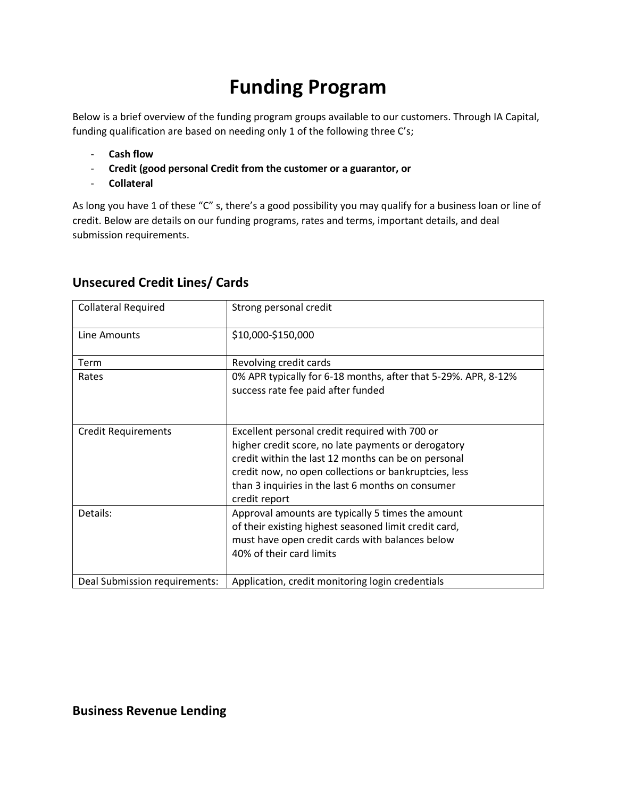# **Funding Program**

Below is a brief overview of the funding program groups available to our customers. Through IA Capital, funding qualification are based on needing only 1 of the following three C's;

- **Cash flow**
- **Credit (good personal Credit from the customer or a guarantor, or**
- **Collateral**

As long you have 1 of these "C" s, there's a good possibility you may qualify for a business loan or line of credit. Below are details on our funding programs, rates and terms, important details, and deal submission requirements.

| <b>Collateral Required</b>    | Strong personal credit                                                                                                                                                                                                                                                                      |
|-------------------------------|---------------------------------------------------------------------------------------------------------------------------------------------------------------------------------------------------------------------------------------------------------------------------------------------|
| Line Amounts                  | \$10,000-\$150,000                                                                                                                                                                                                                                                                          |
| Term                          | Revolving credit cards                                                                                                                                                                                                                                                                      |
| Rates                         | 0% APR typically for 6-18 months, after that 5-29%. APR, 8-12%<br>success rate fee paid after funded                                                                                                                                                                                        |
| <b>Credit Requirements</b>    | Excellent personal credit required with 700 or<br>higher credit score, no late payments or derogatory<br>credit within the last 12 months can be on personal<br>credit now, no open collections or bankruptcies, less<br>than 3 inquiries in the last 6 months on consumer<br>credit report |
| Details:                      | Approval amounts are typically 5 times the amount<br>of their existing highest seasoned limit credit card,<br>must have open credit cards with balances below<br>40% of their card limits                                                                                                   |
| Deal Submission requirements: | Application, credit monitoring login credentials                                                                                                                                                                                                                                            |

#### **Unsecured Credit Lines/ Cards**

**Business Revenue Lending**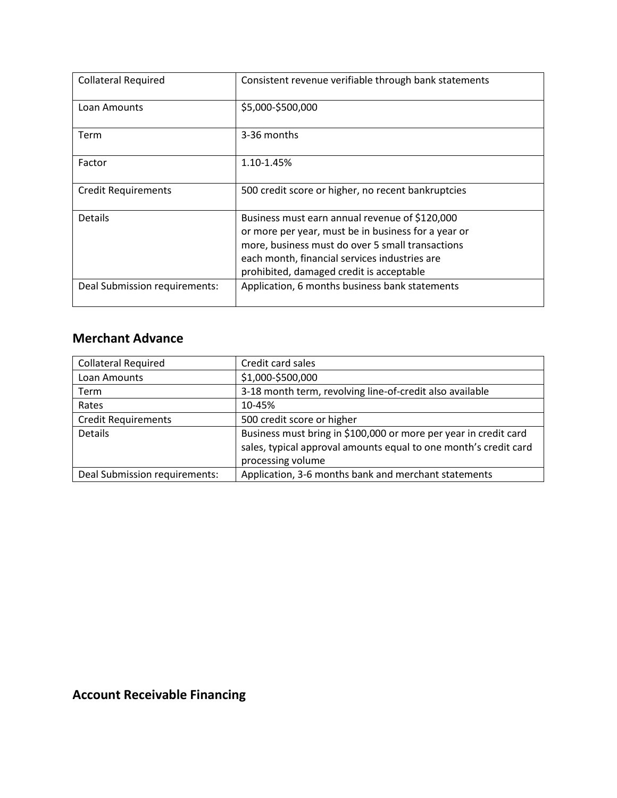| <b>Collateral Required</b>    | Consistent revenue verifiable through bank statements                                                                                                                                                                                                  |
|-------------------------------|--------------------------------------------------------------------------------------------------------------------------------------------------------------------------------------------------------------------------------------------------------|
| Loan Amounts                  | \$5,000-\$500,000                                                                                                                                                                                                                                      |
| Term                          | 3-36 months                                                                                                                                                                                                                                            |
| Factor                        | 1.10-1.45%                                                                                                                                                                                                                                             |
| <b>Credit Requirements</b>    | 500 credit score or higher, no recent bankruptcies                                                                                                                                                                                                     |
| <b>Details</b>                | Business must earn annual revenue of \$120,000<br>or more per year, must be in business for a year or<br>more, business must do over 5 small transactions<br>each month, financial services industries are<br>prohibited, damaged credit is acceptable |
| Deal Submission requirements: | Application, 6 months business bank statements                                                                                                                                                                                                         |

#### **Merchant Advance**

| <b>Collateral Required</b>    | Credit card sales                                                |
|-------------------------------|------------------------------------------------------------------|
| Loan Amounts                  | \$1,000-\$500,000                                                |
| Term                          | 3-18 month term, revolving line-of-credit also available         |
| Rates                         | 10-45%                                                           |
| <b>Credit Requirements</b>    | 500 credit score or higher                                       |
| Details                       | Business must bring in \$100,000 or more per year in credit card |
|                               | sales, typical approval amounts equal to one month's credit card |
|                               | processing volume                                                |
| Deal Submission requirements: | Application, 3-6 months bank and merchant statements             |

### **Account Receivable Financing**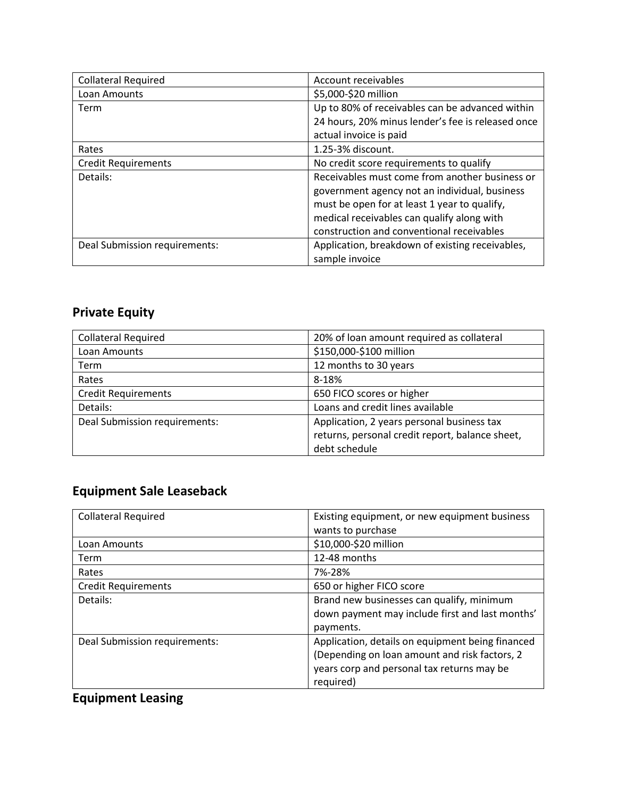| <b>Collateral Required</b>    | Account receivables                               |
|-------------------------------|---------------------------------------------------|
| Loan Amounts                  | \$5,000-\$20 million                              |
| Term                          | Up to 80% of receivables can be advanced within   |
|                               | 24 hours, 20% minus lender's fee is released once |
|                               | actual invoice is paid                            |
| Rates                         | 1.25-3% discount.                                 |
| <b>Credit Requirements</b>    | No credit score requirements to qualify           |
| Details:                      | Receivables must come from another business or    |
|                               | government agency not an individual, business     |
|                               | must be open for at least 1 year to qualify,      |
|                               | medical receivables can qualify along with        |
|                               | construction and conventional receivables         |
| Deal Submission requirements: | Application, breakdown of existing receivables,   |
|                               | sample invoice                                    |

### **Private Equity**

| <b>Collateral Required</b>    | 20% of loan amount required as collateral       |
|-------------------------------|-------------------------------------------------|
| Loan Amounts                  | \$150,000-\$100 million                         |
| Term                          | 12 months to 30 years                           |
| Rates                         | 8-18%                                           |
| <b>Credit Requirements</b>    | 650 FICO scores or higher                       |
| Details:                      | Loans and credit lines available                |
| Deal Submission requirements: | Application, 2 years personal business tax      |
|                               | returns, personal credit report, balance sheet, |
|                               | debt schedule                                   |

### **Equipment Sale Leaseback**

| <b>Collateral Required</b>    | Existing equipment, or new equipment business    |
|-------------------------------|--------------------------------------------------|
|                               | wants to purchase                                |
| Loan Amounts                  | \$10,000-\$20 million                            |
| Term                          | 12-48 months                                     |
| Rates                         | 7%-28%                                           |
| <b>Credit Requirements</b>    | 650 or higher FICO score                         |
| Details:                      | Brand new businesses can qualify, minimum        |
|                               | down payment may include first and last months'  |
|                               | payments.                                        |
| Deal Submission requirements: | Application, details on equipment being financed |
|                               | (Depending on loan amount and risk factors, 2    |
|                               | years corp and personal tax returns may be       |
|                               | required)                                        |

## **Equipment Leasing**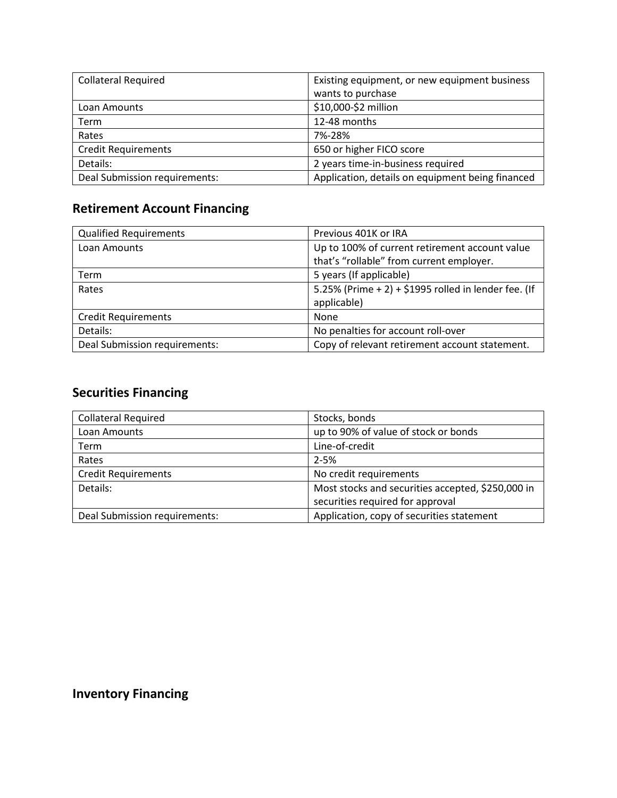| <b>Collateral Required</b>    | Existing equipment, or new equipment business    |
|-------------------------------|--------------------------------------------------|
|                               | wants to purchase                                |
| Loan Amounts                  | \$10,000-\$2 million                             |
| Term                          | 12-48 months                                     |
| Rates                         | 7%-28%                                           |
| <b>Credit Requirements</b>    | 650 or higher FICO score                         |
| Details:                      | 2 years time-in-business required                |
| Deal Submission requirements: | Application, details on equipment being financed |

### **Retirement Account Financing**

| <b>Qualified Requirements</b> | Previous 401K or IRA                                 |
|-------------------------------|------------------------------------------------------|
| Loan Amounts                  | Up to 100% of current retirement account value       |
|                               | that's "rollable" from current employer.             |
| Term                          | 5 years (If applicable)                              |
| Rates                         | 5.25% (Prime + 2) + \$1995 rolled in lender fee. (If |
|                               | applicable)                                          |
| <b>Credit Requirements</b>    | None                                                 |
| Details:                      | No penalties for account roll-over                   |
| Deal Submission requirements: | Copy of relevant retirement account statement.       |

### **Securities Financing**

| <b>Collateral Required</b>    | Stocks, bonds                                     |
|-------------------------------|---------------------------------------------------|
| Loan Amounts                  | up to 90% of value of stock or bonds              |
| <b>Term</b>                   | Line-of-credit                                    |
| Rates                         | $2 - 5%$                                          |
| <b>Credit Requirements</b>    | No credit requirements                            |
| Details:                      | Most stocks and securities accepted, \$250,000 in |
|                               | securities required for approval                  |
| Deal Submission requirements: | Application, copy of securities statement         |

### **Inventory Financing**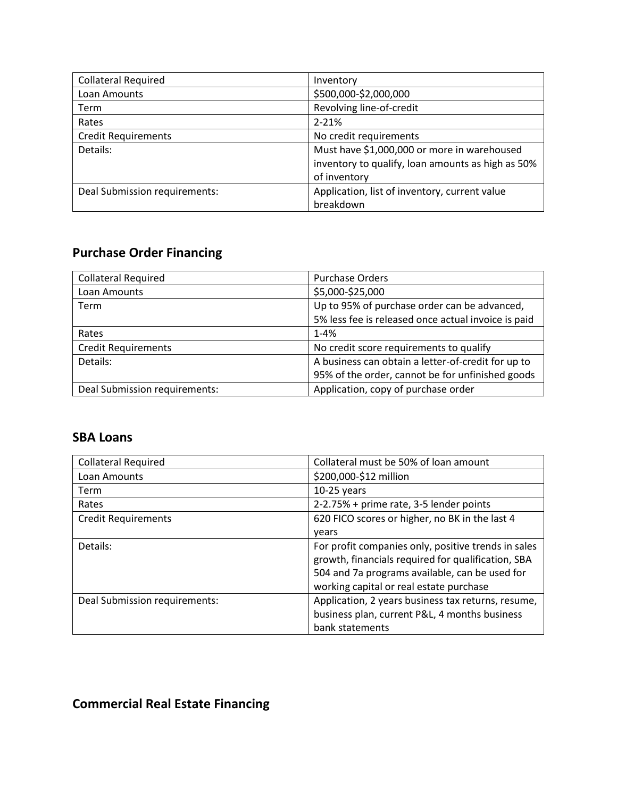| <b>Collateral Required</b>    | Inventory                                         |
|-------------------------------|---------------------------------------------------|
| Loan Amounts                  | \$500,000-\$2,000,000                             |
| Term                          | Revolving line-of-credit                          |
| Rates                         | $2 - 21%$                                         |
| <b>Credit Requirements</b>    | No credit requirements                            |
| Details:                      | Must have \$1,000,000 or more in warehoused       |
|                               | inventory to qualify, loan amounts as high as 50% |
|                               | of inventory                                      |
| Deal Submission requirements: | Application, list of inventory, current value     |
|                               | breakdown                                         |

### **Purchase Order Financing**

| <b>Collateral Required</b>    | <b>Purchase Orders</b>                              |
|-------------------------------|-----------------------------------------------------|
| Loan Amounts                  | \$5,000-\$25,000                                    |
| <b>Term</b>                   | Up to 95% of purchase order can be advanced,        |
|                               | 5% less fee is released once actual invoice is paid |
| Rates                         | $1 - 4%$                                            |
| <b>Credit Requirements</b>    | No credit score requirements to qualify             |
| Details:                      | A business can obtain a letter-of-credit for up to  |
|                               | 95% of the order, cannot be for unfinished goods    |
| Deal Submission requirements: | Application, copy of purchase order                 |

#### **SBA Loans**

| <b>Collateral Required</b>    | Collateral must be 50% of loan amount                                                                                                                                                                  |
|-------------------------------|--------------------------------------------------------------------------------------------------------------------------------------------------------------------------------------------------------|
| Loan Amounts                  | \$200,000-\$12 million                                                                                                                                                                                 |
| <b>Term</b>                   | $10-25$ years                                                                                                                                                                                          |
| Rates                         | 2-2.75% + prime rate, 3-5 lender points                                                                                                                                                                |
| <b>Credit Requirements</b>    | 620 FICO scores or higher, no BK in the last 4                                                                                                                                                         |
|                               | vears                                                                                                                                                                                                  |
| Details:                      | For profit companies only, positive trends in sales<br>growth, financials required for qualification, SBA<br>504 and 7a programs available, can be used for<br>working capital or real estate purchase |
| Deal Submission requirements: | Application, 2 years business tax returns, resume,<br>business plan, current P&L, 4 months business<br>bank statements                                                                                 |

#### **Commercial Real Estate Financing**